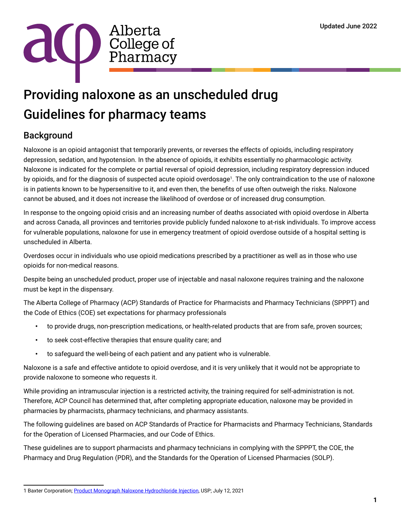

# Providing naloxone as an unscheduled drug Guidelines for pharmacy teams

## Background

Naloxone is an opioid antagonist that temporarily prevents, or reverses the effects of opioids, including respiratory depression, sedation, and hypotension. In the absence of opioids, it exhibits essentially no pharmacologic activity. Naloxone is indicated for the complete or partial reversal of opioid depression, including respiratory depression induced by opioids, and for the diagnosis of suspected acute opioid overdosage<sup>1</sup>. The only contraindication to the use of naloxone is in patients known to be hypersensitive to it, and even then, the benefits of use often outweigh the risks. Naloxone cannot be abused, and it does not increase the likelihood of overdose or of increased drug consumption.

In response to the ongoing opioid crisis and an increasing number of deaths associated with opioid overdose in Alberta and across Canada, all provinces and territories provide publicly funded naloxone to at-risk individuals. To improve access for vulnerable populations, naloxone for use in emergency treatment of opioid overdose outside of a hospital setting is unscheduled in Alberta.

Overdoses occur in individuals who use opioid medications prescribed by a practitioner as well as in those who use opioids for non-medical reasons.

Despite being an unscheduled product, proper use of injectable and nasal naloxone requires training and the naloxone must be kept in the dispensary.

The Alberta College of Pharmacy (ACP) Standards of Practice for Pharmacists and Pharmacy Technicians (SPPPT) and the Code of Ethics (COE) set expectations for pharmacy professionals

- to provide drugs, non-prescription medications, or health-related products that are from safe, proven sources;
- to seek cost-effective therapies that ensure quality care; and
- to safeguard the well-being of each patient and any patient who is vulnerable.

Naloxone is a safe and effective antidote to opioid overdose, and it is very unlikely that it would not be appropriate to provide naloxone to someone who requests it.

While providing an intramuscular injection is a restricted activity, the training required for self-administration is not. Therefore, ACP Council has determined that, after completing appropriate education, naloxone may be provided in pharmacies by pharmacists, pharmacy technicians, and pharmacy assistants.

The following guidelines are based on ACP Standards of Practice for Pharmacists and Pharmacy Technicians, Standards for the Operation of Licensed Pharmacies, and our Code of Ethics.

These guidelines are to support pharmacists and pharmacy technicians in complying with the SPPPT, the COE, the Pharmacy and Drug Regulation (PDR), and the Standards for the Operation of Licensed Pharmacies (SOLP).

<sup>1</sup> Baxter Corporation; [Product Monograph Naloxone Hydrochloride Injection](https://www.baxter.ca/sites/g/files/ebysai1431/files/2021-07/Naloxone_EN.pdf), USP; July 12, 2021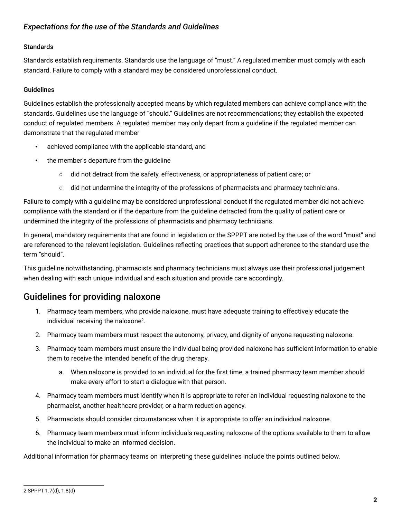### *Expectations for the use of the Standards and Guidelines*

#### **Standards**

Standards establish requirements. Standards use the language of "must." A regulated member must comply with each standard. Failure to comply with a standard may be considered unprofessional conduct.

#### Guidelines

Guidelines establish the professionally accepted means by which regulated members can achieve compliance with the standards. Guidelines use the language of "should." Guidelines are not recommendations; they establish the expected conduct of regulated members. A regulated member may only depart from a guideline if the regulated member can demonstrate that the regulated member

- achieved compliance with the applicable standard, and
- the member's departure from the guideline
	- did not detract from the safety, effectiveness, or appropriateness of patient care; or
	- did not undermine the integrity of the professions of pharmacists and pharmacy technicians.

Failure to comply with a guideline may be considered unprofessional conduct if the regulated member did not achieve compliance with the standard or if the departure from the guideline detracted from the quality of patient care or undermined the integrity of the professions of pharmacists and pharmacy technicians.

In general, mandatory requirements that are found in legislation or the SPPPT are noted by the use of the word "must" and are referenced to the relevant legislation. Guidelines reflecting practices that support adherence to the standard use the term "should".

This guideline notwithstanding, pharmacists and pharmacy technicians must always use their professional judgement when dealing with each unique individual and each situation and provide care accordingly.

## Guidelines for providing naloxone

- 1. Pharmacy team members, who provide naloxone, must have adequate training to effectively educate the individual receiving the naloxone<sup>2</sup>.
- 2. Pharmacy team members must respect the autonomy, privacy, and dignity of anyone requesting naloxone.
- 3. Pharmacy team members must ensure the individual being provided naloxone has sufficient information to enable them to receive the intended benefit of the drug therapy.
	- a. When naloxone is provided to an individual for the first time, a trained pharmacy team member should make every effort to start a dialogue with that person.
- 4. Pharmacy team members must identify when it is appropriate to refer an individual requesting naloxone to the pharmacist, another healthcare provider, or a harm reduction agency.
- 5. Pharmacists should consider circumstances when it is appropriate to offer an individual naloxone.
- 6. Pharmacy team members must inform individuals requesting naloxone of the options available to them to allow the individual to make an informed decision.

Additional information for pharmacy teams on interpreting these guidelines include the points outlined below.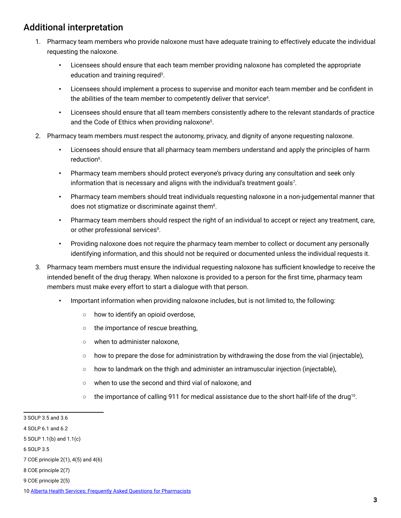## Additional interpretation

- 1. Pharmacy team members who provide naloxone must have adequate training to effectively educate the individual requesting the naloxone.
	- Licensees should ensure that each team member providing naloxone has completed the appropriate education and training required<sup>3</sup>.
	- Licensees should implement a process to supervise and monitor each team member and be confident in the abilities of the team member to competently deliver that service<sup>4</sup>.
	- Licensees should ensure that all team members consistently adhere to the relevant standards of practice and the Code of Ethics when providing naloxone<sup>5</sup>.
- 2. Pharmacy team members must respect the autonomy, privacy, and dignity of anyone requesting naloxone.
	- Licensees should ensure that all pharmacy team members understand and apply the principles of harm reduction<sup>6</sup>.
	- Pharmacy team members should protect everyone's privacy during any consultation and seek only information that is necessary and aligns with the individual's treatment goals<sup>7</sup>.
	- Pharmacy team members should treat individuals requesting naloxone in a non-judgemental manner that does not stigmatize or discriminate against them<sup>8</sup>.
	- Pharmacy team members should respect the right of an individual to accept or reject any treatment, care, or other professional services<sup>9</sup>.
	- Providing naloxone does not require the pharmacy team member to collect or document any personally identifying information, and this should not be required or documented unless the individual requests it.
- 3. Pharmacy team members must ensure the individual requesting naloxone has sufficient knowledge to receive the intended benefit of the drug therapy. When naloxone is provided to a person for the first time, pharmacy team members must make every effort to start a dialogue with that person.
	- Important information when providing naloxone includes, but is not limited to, the following:
		- how to identify an opioid overdose,
		- the importance of rescue breathing,
		- when to administer naloxone,
		- how to prepare the dose for administration by withdrawing the dose from the vial (injectable),
		- how to landmark on the thigh and administer an intramuscular injection (injectable),
		- when to use the second and third vial of naloxone, and
		- $\circ$  the importance of calling 911 for medical assistance due to the short half-life of the drug<sup>10</sup>.

<sup>3</sup> SOLP 3.5 and 3.6

<sup>4</sup> SOLP 6.1 and 6.2

<sup>5</sup> SOLP 1.1(b) and 1.1(c)

<sup>6</sup> SOLP 3.5

<sup>7</sup> COE principle 2(1), 4(5) and 4(6)

<sup>8</sup> COE principle 2(7)

<sup>9</sup> COE principle 2(5)

<sup>10</sup> [Alberta Health Services; Frequently Asked Questions for Pharmacists](https://www.albertahealthservices.ca/assets/healthinfo/mh/hi-amh-cbn-program-frequently-asked-questions-pharmacists.pdf)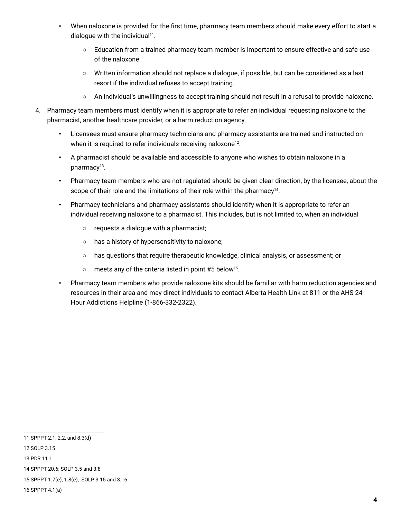- When naloxone is provided for the first time, pharmacy team members should make every effort to start a dialogue with the individual<sup>11</sup>.
	- Education from a trained pharmacy team member is important to ensure effective and safe use of the naloxone.
	- Written information should not replace a dialogue, if possible, but can be considered as a last resort if the individual refuses to accept training.
	- An individual's unwillingness to accept training should not result in a refusal to provide naloxone.
- 4. Pharmacy team members must identify when it is appropriate to refer an individual requesting naloxone to the pharmacist, another healthcare provider, or a harm reduction agency.
	- Licensees must ensure pharmacy technicians and pharmacy assistants are trained and instructed on when it is required to refer individuals receiving naloxone<sup>12</sup>.
	- A pharmacist should be available and accessible to anyone who wishes to obtain naloxone in a pharmacy<sup>13</sup>.
	- Pharmacy team members who are not regulated should be given clear direction, by the licensee, about the scope of their role and the limitations of their role within the pharmacy<sup>14</sup>.
	- Pharmacy technicians and pharmacy assistants should identify when it is appropriate to refer an individual receiving naloxone to a pharmacist. This includes, but is not limited to, when an individual
		- requests a dialogue with a pharmacist;
		- has a history of hypersensitivity to naloxone;
		- has questions that require therapeutic knowledge, clinical analysis, or assessment; or
		- meets any of the criteria listed in point #5 below15.
	- Pharmacy team members who provide naloxone kits should be familiar with harm reduction agencies and resources in their area and may direct individuals to contact Alberta Health Link at 811 or the AHS 24 Hour Addictions Helpline (1-866-332-2322).

11 SPPPT 2.1, 2.2, and 8.3(d) 12 SOLP 3.15 13 PDR 11.1 14 SPPPT 20.6; SOLP 3.5 and 3.8 15 SPPPT 1.7(e), 1.8(e); SOLP 3.15 and 3.16 16 SPPPT 4.1(a)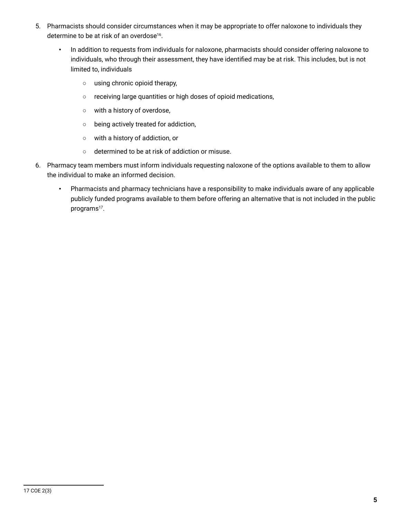- 5. Pharmacists should consider circumstances when it may be appropriate to offer naloxone to individuals they determine to be at risk of an overdose<sup>16</sup>.
	- In addition to requests from individuals for naloxone, pharmacists should consider offering naloxone to individuals, who through their assessment, they have identified may be at risk. This includes, but is not limited to, individuals
		- using chronic opioid therapy,
		- receiving large quantities or high doses of opioid medications,
		- with a history of overdose,
		- being actively treated for addiction,
		- with a history of addiction, or
		- determined to be at risk of addiction or misuse.
- 6. Pharmacy team members must inform individuals requesting naloxone of the options available to them to allow the individual to make an informed decision.
	- Pharmacists and pharmacy technicians have a responsibility to make individuals aware of any applicable publicly funded programs available to them before offering an alternative that is not included in the public programs<sup>17</sup>.